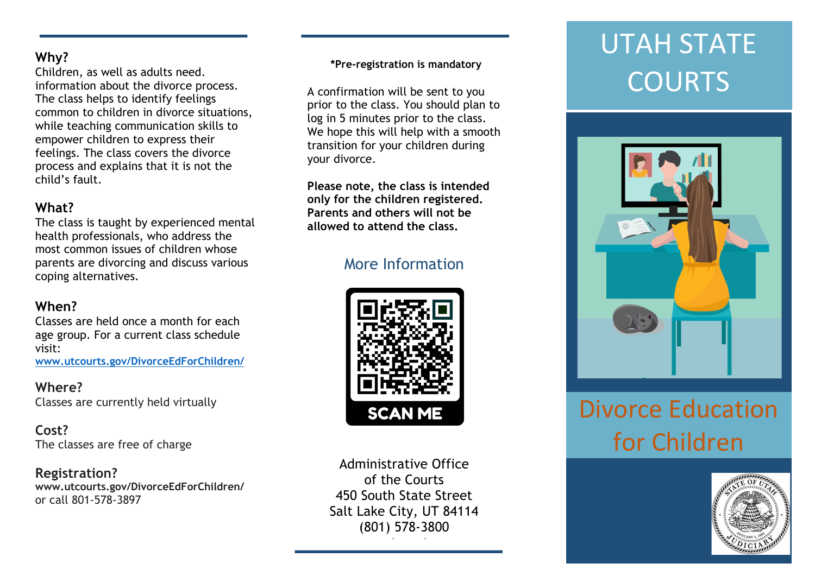### **Why?**

Children, as well as adults need. information about the divorce process. The class helps to identify feelings common to children in divorce situations, while teaching communication skills to empower children to express their feelings. The class covers the divorce process and explains that it is not the child's fault.

### **What?**

The class is taught by experienced mental health professionals, who address the most common issues of children whose parents are divorcing and discuss various coping alternatives.

### **When?**

Classes are held once a month for each age group. For a current class schedule visit: **www.utcourts.gov/DivorceEdForChildren/**

#### **Where?** Classes are currently held virtually

**Cost?** The classes are free of charge

#### **Registration? www.utcourts.gov/DivorceEdForChildren/** or call 801-578-3897

### **\*Pre-registration is mandatory**

A confirmation will be sent to you prior to the class. You should plan to log in 5 minutes prior to the class. We hope this will help with a smooth transition for your children during your divorce.

**Please note, the class is intended only for the children registered. Parents and others will not be allowed to attend the class.**

## More Information



Administrative Office of the Courts 450 South State Street Salt Lake City, UT 84114 (801) 578-3800

w.utcourts.gov.edu/

# UTAH STATE **COURTS**



# Divorce Education for Children